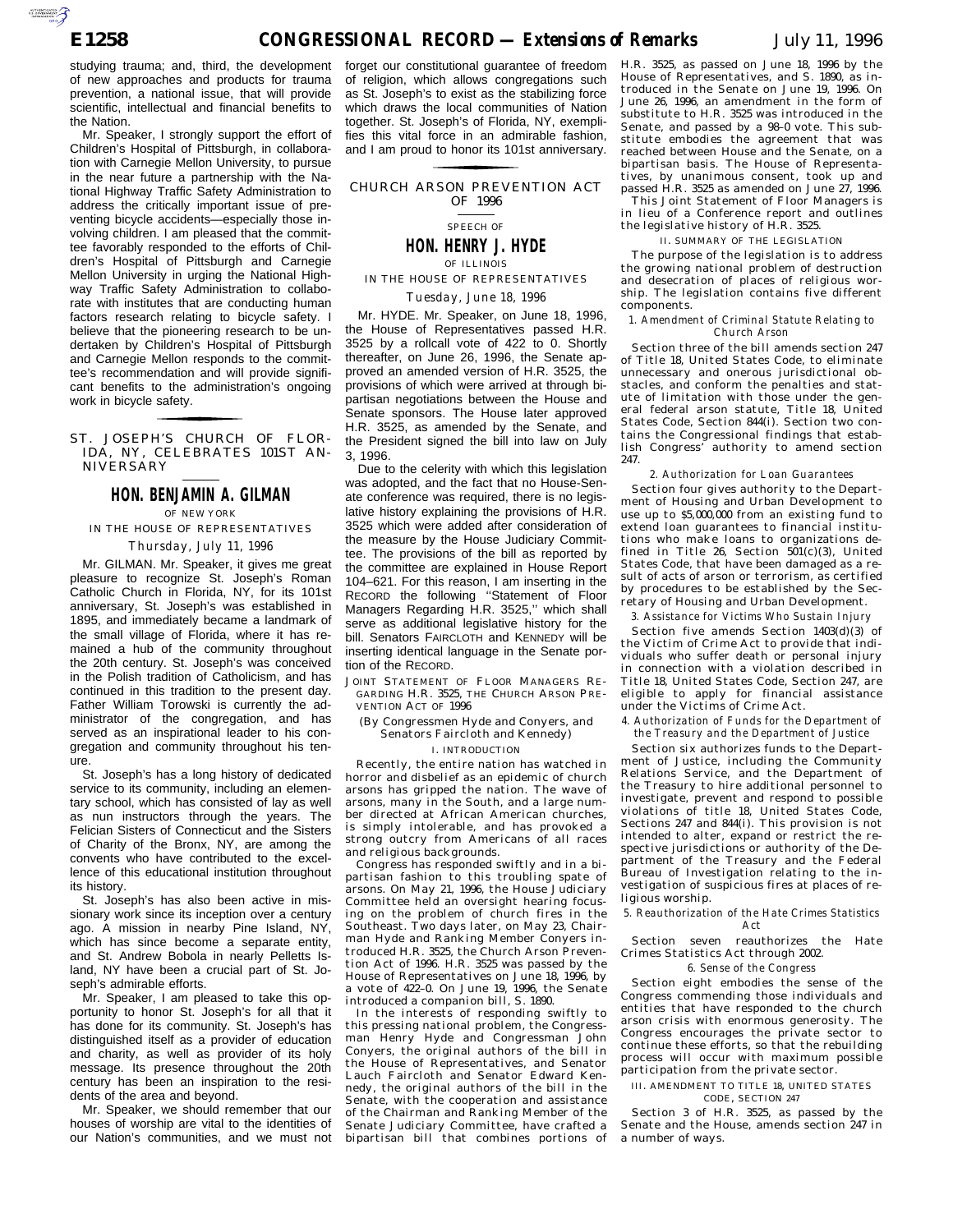AUTOROTOMICALE

studying trauma; and, third, the development of new approaches and products for trauma prevention, a national issue, that will provide scientific, intellectual and financial benefits to the Nation.

Mr. Speaker, I strongly support the effort of Children's Hospital of Pittsburgh, in collaboration with Carnegie Mellon University, to pursue in the near future a partnership with the National Highway Traffic Safety Administration to address the critically important issue of preventing bicycle accidents—especially those involving children. I am pleased that the committee favorably responded to the efforts of Children's Hospital of Pittsburgh and Carnegie Mellon University in urging the National Highway Traffic Safety Administration to collaborate with institutes that are conducting human factors research relating to bicycle safety. I believe that the pioneering research to be undertaken by Children's Hospital of Pittsburgh and Carnegie Mellon responds to the committee's recommendation and will provide significant benefits to the administration's ongoing work in bicycle safety.

### ST. JOSEPH'S CHURCH OF FLOR-IDA, NY, CELEBRATES 101ST AN-NIVERSARY

for the control of the control of

# **HON. BENJAMIN A. GILMAN** OF NEW YORK

## IN THE HOUSE OF REPRESENTATIVES *Thursday, July 11, 1996*

Mr. GILMAN. Mr. Speaker, it gives me great pleasure to recognize St. Joseph's Roman Catholic Church in Florida, NY, for its 101st anniversary, St. Joseph's was established in 1895, and immediately became a landmark of the small village of Florida, where it has remained a hub of the community throughout the 20th century. St. Joseph's was conceived in the Polish tradition of Catholicism, and has continued in this tradition to the present day. Father William Torowski is currently the administrator of the congregation, and has served as an inspirational leader to his congregation and community throughout his tenure.

St. Joseph's has a long history of dedicated service to its community, including an elementary school, which has consisted of lay as well as nun instructors through the years. The Felician Sisters of Connecticut and the Sisters of Charity of the Bronx, NY, are among the convents who have contributed to the excellence of this educational institution throughout its history.

St. Joseph's has also been active in missionary work since its inception over a century ago. A mission in nearby Pine Island, NY, which has since become a separate entity, and St. Andrew Bobola in nearly Pelletts Island, NY have been a crucial part of St. Joseph's admirable efforts.

Mr. Speaker, I am pleased to take this opportunity to honor St. Joseph's for all that it has done for its community. St. Joseph's has distinguished itself as a provider of education and charity, as well as provider of its holy message. Its presence throughout the 20th century has been an inspiration to the residents of the area and beyond.

Mr. Speaker, we should remember that our houses of worship are vital to the identities of our Nation's communities, and we must not forget our constitutional guarantee of freedom of religion, which allows congregations such as St. Joseph's to exist as the stabilizing force which draws the local communities of Nation together. St. Joseph's of Florida, NY, exemplifies this vital force in an admirable fashion, and I am proud to honor its 101st anniversary.

## CHURCH ARSON PREVENTION ACT for the control of the control of OF 1996

## SPEECH OF

**HON. HENRY J. HYDE** OF ILLINOIS

## IN THE HOUSE OF REPRESENTATIVES *Tuesday, June 18, 1996*

Mr. HYDE. Mr. Speaker, on June 18, 1996, the House of Representatives passed H.R. 3525 by a rollcall vote of 422 to 0. Shortly thereafter, on June 26, 1996, the Senate approved an amended version of H.R. 3525, the provisions of which were arrived at through bipartisan negotiations between the House and Senate sponsors. The House later approved H.R. 3525, as amended by the Senate, and the President signed the bill into law on July 3, 1996.

Due to the celerity with which this legislation was adopted, and the fact that no House-Senate conference was required, there is no legislative history explaining the provisions of H.R. 3525 which were added after consideration of the measure by the House Judiciary Committee. The provisions of the bill as reported by the committee are explained in House Report 104–621. For this reason, I am inserting in the RECORD the following ''Statement of Floor Managers Regarding H.R. 3525,'' which shall serve as additional legislative history for the bill. Senators FAIRCLOTH and KENNEDY will be inserting identical language in the Senate portion of the RECORD.

JOINT STATEMENT OF FLOOR MANAGERS RE-GARDING H.R. 3525, THE CHURCH ARSON PRE-VENTION ACT OF 1996

#### (By Congressmen Hyde and Conyers, and Senators Faircloth and Kennedy)

### I. INTRODUCTION

Recently, the entire nation has watched in horror and disbelief as an epidemic of church arsons has gripped the nation. The wave of arsons, many in the South, and a large number directed at African American churches, is simply intolerable, and has provoked a strong outcry from Americans of all races and religious backgrounds.

Congress has responded swiftly and in a bipartisan fashion to this troubling spate of arsons. On May 21, 1996, the House Judiciary Committee held an oversight hearing focusing on the problem of church fires in the Southeast. Two days later, on May 23, Chairman Hyde and Ranking Member Conyers introduced H.R. 3525, the Church Arson Prevention Act of 1996. H.R. 3525 was passed by the House of Representatives on June 18, 1996, by a vote of 422–0. On June 19, 1996, the Senate introduced a companion bill, S. 1890.

In the interests of responding swiftly to this pressing national problem, the Congressman Henry Hyde and Congressman John Conyers, the original authors of the bill in the House of Representatives, and Senator Lauch Faircloth and Senator Edward Kennedy, the original authors of the bill in the Senate, with the cooperation and assistance of the Chairman and Ranking Member of the Senate Judiciary Committee, have crafted a bipartisan bill that combines portions of

H.R. 3525, as passed on June 18, 1996 by the House of Representatives, and S. 1890, as introduced in the Senate on June 19, 1996. On June 26, 1996, an amendment in the form of substitute to H.R. 3525 was introduced in the Senate, and passed by a 98–0 vote. This substitute embodies the agreement that was reached between House and the Senate, on a bipartisan basis. The House of Representatives, by unanimous consent, took up and passed H.R. 3525 as amended on June 27, 1996. This Joint Statement of Floor Managers is in lieu of a Conference report and outlines the legislative history of H.R. 3525.

# II. SUMMARY OF THE LEGISLATION

The purpose of the legislation is to address the growing national problem of destruction and desecration of places of religious worship. The legislation contains five different components.

#### *1. Amendment of Criminal Statute Relating to Church Arson*

Section three of the bill amends section 247 of Title 18, United States Code, to eliminate unnecessary and onerous jurisdictional obstacles, and conform the penalties and statute of limitation with those under the general federal arson statute, Title 18, United States Code, Section 844(i). Section two contains the Congressional findings that establish Congress' authority to amend section 247.

#### *2. Authorization for Loan Guarantees*

Section four gives authority to the Department of Housing and Urban Development to use up to \$5,000,000 from an existing fund to extend loan guarantees to financial institutions who make loans to organizations defined in Title  $26$ , Section  $501(c)(3)$ , United States Code, that have been damaged as a result of acts of arson or terrorism, as certified by procedures to be established by the Secretary of Housing and Urban Development.

*3. Assistance for Victims Who Sustain Injury*

Section five amends Section 1403(d)(3) of the Victim of Crime Act to provide that individuals who suffer death or personal injury in connection with a violation described in Title 18, United States Code, Section 247, are eligible to apply for financial assistance under the Victims of Crime Act.

#### *4. Authorization of Funds for the Department of the Treasury and the Department of Justice*

Section six authorizes funds to the Department of Justice, including the Community Relations Service, and the Department of the Treasury to hire additional personnel to investigate, prevent and respond to possible violations of title 18, United States Code, Sections 247 and 844(i). This provision is not intended to alter, expand or restrict the respective jurisdictions or authority of the Department of the Treasury and the Federal Bureau of Investigation relating to the investigation of suspicious fires at places of religious worship.

#### *5. Reauthorization of the Hate Crimes Statistics Act*

Section seven reauthorizes the Hate Crimes Statistics Act through 2002.

### *6. Sense of the Congress*

Section eight embodies the sense of the Congress commending those individuals and entities that have responded to the church arson crisis with enormous generosity. The Congress encourages the private sector to continue these efforts, so that the rebuilding process will occur with maximum possible participation from the private sector.

#### III. AMENDMENT TO TITLE 18, UNITED STATES CODE, SECTION 247

Section 3 of H.R. 3525, as passed by the Senate and the House, amends section 247 in a number of ways.